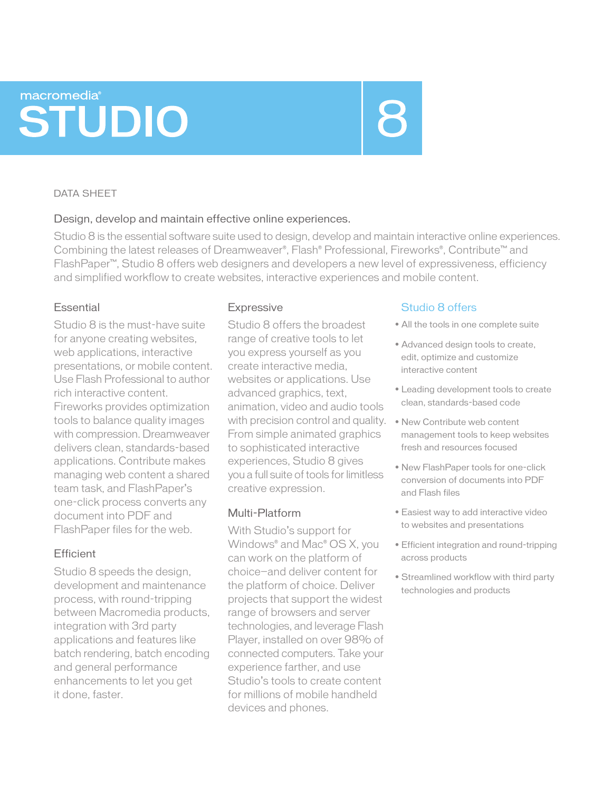# macromedia® **STUDIO**

#### DATA SHEET

# Design, develop and maintain effective online experiences.

Studio 8 is the essential software suite used to design, develop and maintain interactive online experiences. Combining the latest releases of Dreamweaver®, Flash® Professional, Fireworks®, Contribute™ and FlashPaper™, Studio 8 offers web designers and developers a new level of expressiveness, efficiency and simplified workflow to create websites, interactive experiences and mobile content.

# Essential

Studio 8 is the must-have suite for anyone creating websites, web applications, interactive presentations, or mobile content. Use Flash Professional to author rich interactive content. Fireworks provides optimization tools to balance quality images with compression. Dreamweaver delivers clean, standards-based applications. Contribute makes managing web content a shared team task, and FlashPaper's one-click process converts any document into PDF and FlashPaper files for the web.

# **Efficient**

Studio 8 speeds the design, development and maintenance process, with round-tripping between Macromedia products, integration with 3rd party applications and features like batch rendering, batch encoding and general performance enhancements to let you get it done, faster.

# **Expressive**

Studio 8 offers the broadest range of creative tools to let you express yourself as you create interactive media, websites or applications. Use advanced graphics, text, animation, video and audio tools with precision control and quality. From simple animated graphics to sophisticated interactive experiences, Studio 8 gives you a full suite of tools for limitless creative expression.

# Multi-Platform

With Studio's support for Windows® and Mac® OS X, you can work on the platform of choice—and deliver content for the platform of choice. Deliver projects that support the widest range of browsers and server technologies, and leverage Flash Player, installed on over 98% of connected computers. Take your experience farther, and use Studio's tools to create content for millions of mobile handheld devices and phones.

# Studio 8 offers

- All the tools in one complete suite
- Advanced design tools to create, edit, optimize and customize interactive content
- Leading development tools to create clean, standards-based code
- New Contribute web content management tools to keep websites fresh and resources focused
- New FlashPaper tools for one-click conversion of documents into PDF and Flash files
- Easiest way to add interactive video to websites and presentations
- Efficient integration and round-tripping across products
- Streamlined workflow with third party technologies and products